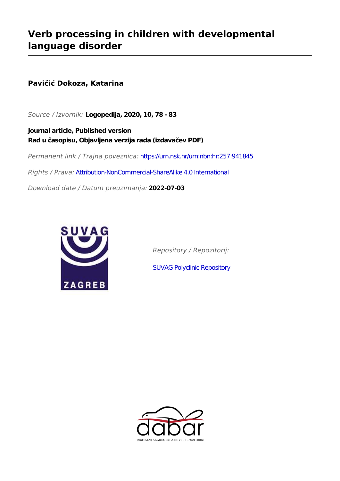# **Verb processing in children with developmental language disorder**

# **Pavičić Dokoza, Katarina**

*Source / Izvornik:* **Logopedija, 2020, 10, 78 - 83**

**Journal article, Published version Rad u časopisu, Objavljena verzija rada (izdavačev PDF)**

*Permanent link / Trajna poveznica:* <https://urn.nsk.hr/urn:nbn:hr:257:941845>

*Rights / Prava:* [Attribution-NonCommercial-ShareAlike 4.0 International](http://creativecommons.org/licenses/by-nc-sa/4.0/)

*Download date / Datum preuzimanja:* **2022-07-03**



*Repository / Repozitorij:*

[SUVAG Polyclinic Repository](https://repozitorij.suvag.hr)

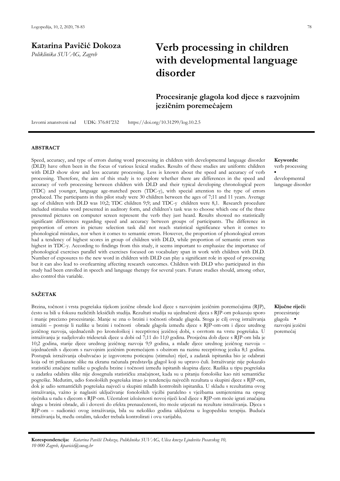**Katarina Pavičić Dokoza** *Poliklinika SUVAG, Zagreb*

# **Verb processing in children with developmental language disorder**

# **Procesiranje glagola kod djece s razvojnim jezičnim poremećajem**

Izvorni znanstveni rad UDK: 376:81'232 https://doi.org/10.31299/log.10.2.5

# **ABSTRACT**

Speed, accuracy, and type of errors during word processing in children with developmental language disorder (DLD) have often been in the focus of various lexical studies. Results of these studies are uniform: children with DLD show slow and less accurate processing. Less is known about the speed and accuracy of verb processing. Therefore, the aim of this study is to explore whether there are differences in the speed and accuracy of verb processing between children with DLD and their typical developing chronological peers (TDC) and younger, language age-matched peers (TDC-y), with special attention to the type of errors produced. The participants in this pilot study were 30 children between the ages of 7;11 and 11 years. Average age of children with DLD was 10;2; TDC children 9;9; and TDC-y children were 8,1. Research procedure included stimulus word presented in auditory form, and children's task was to choose which one of the three presented pictures on computer screen represent the verb they just heard. Results showed no statistically significant differences regarding speed and accuracy between groups of participants. The difference in proportion of errors in picture selection task did not reach statistical significance when it comes to phonological mistakes, nor when it comes to semantic errors. However, the proportion of phonological errors had a tendency of highest scores in group of children with DLD, while proportion of semantic errors was highest in TDC-y. According to findings from this study, it seems important to emphasize the importance of phonological exercises parallel with exercises focused on vocabulary span in work with children with DLD. Number of exposures to the new word in children with DLD can play a significant role in speed of processing but it can also lead to overlearning affecting research outcomes. Children with DLD who participated in this study had been enrolled in speech and language therapy for several years. Future studies should, among other, also control this variable.

# **SAŽETAK**

Brzina, točnost i vrsta pogrešaka tijekom jezične obrade kod djece s razvojnim jezičnim poremećajima (RJP), često su bili u fokusu različitih leksičkih studija. Rezultati studija su ujednačeni: djeca s RJP-om pokazuju sporo i manje precizno procesiranje. Manje se zna o brzini i točnosti obrade glagola. Stoga je cilj ovog istraživanja istražiti – postoje li razlike u brzini i točnosti obrade glagola između djece s RJP-om-om i djece urednog jezičnog razvoja, ujednačenih po kronološkoj i receptivnoj jezičnoj dobi, s osvrtom na vrstu pogrešaka. U istraživanju je sudjelovalo tridesetak djece u dobi od 7;11 do 11;0 godina. Prosječna dob djece s RJP-om bila je 10;2 godina, starije djece urednog jezičnog razvoja 9;9 godina, a mlađe djece urednog jezičnog razvoja – izjednačenih s djecom s razvojnim jezičnim poremećajem s obzirom na razinu receptivnog jezika 8;1 godina. Postupak istraživanja obuhvaćao je izgovorenu poticajnu (stimulus) riječ, a zadatak ispitanika bio je odabrati koja od tri prikazane slike na ekranu računala predstavlja glagol koji su upravo čuli. Istraživanje nije pokazalo statistički značajne razlike u pogledu brzine i točnosti između ispitanih skupina djece. Razlika u tipu pogrešaka u zadatku odabira slike nije dosegnula statističku značajnost, kada su u pitanju fonološke kao niti semantičke pogreške. Međutim, udio fonoloških pogrešaka imao je tendenciju najvećih rezultata u skupini djece s RJP-om, dok je udio semantičkih pogrešaka najveći u skupini mlađih kontrolnih ispitanika. U skladu s rezultatima ovog istraživanja, važno je naglasiti uključivanje fonoloških vježbi paralelno s vježbama usmjerenima na opseg rječnika u radu s djecom s RJP-om. Učestalost izloženosti novoj riječi kod djece s RJP-om može igrati značajnu ulogu u brzini obrade, ali i dovesti do efekta prenaučenosti, što može utjecati na rezultate istraživanja. Djeca s RJP-om – sudionici ovog istraživanja, bila su nekoliko godina uključena u logopedsku terapiju. Buduća istraživanja bi, među ostalim, također trebala kontrolirati i ovu varijablu.

**Keywords:** verb processing

developmental language disorder

▪

**Ključne riječi:**  procesiranje glagola ▪ razvojni jezični poremećaj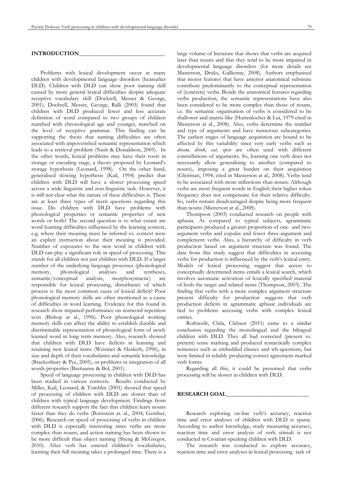# **INTRODUCTION**

Problems with lexical development occur at many children with developmental language disorders (heareafter DLD). Children with DLD can show poor naming skill caused by more general lexical difficulties despite adequate receptive vocabulary skill (Dockrell, Messer & George, 2001). Dockrell, Messer, George, Ralli (2003) found that children with DLD produced fewer and less accurate definition of word compared to two groups of children matched with chronological age and younger, matched on the level of receptive grammar. This finding can be supporting the thesis that naming difficulties are often associated with impoverished semantic representation which leads to a retrieval problem (Nash & Donaldson, 2005). In the other words, lexical problems may have their roots in storage or encoding stage, a theory proposed by Leonard's storage hypothesis (Leonard, 1998). On the other hand, generalised slowing hypothesis (Kail, 1994) predict that children with DLD will have a slower processing speed across a wide linguistic and non-linguistic task. However, it is still not clear what the nature of these difficulties is. There are at least three types of merit questions regarding this issue. Do children with DLD have problems with phonological properties or semantic properties of new words or both? The second question is to what extant are word learning difficulties influenced by the learning context, e.g. where their meaning must be inferred vs. context were an explicit instruction about their meaning is provided. Number of exposures to the new word in children with DLD can play a significant role in speed of processing. This stands for all children not just children with DLD. If a larger number of the underlying language processes (phonological memory, phonological analyses and syntheses, semantic/conceptual analysis, morphosyntactic) are responsible for lexical processing, disturbance of which process is the most common cause of lexical deficit? Poor phonological memory skills are often mentioned as a cause of difficulties in word learning. Evidence for this found in research show impaired performance on nonword repetition tests (Bishop at al., 1996). Poor phonological working memory skills can affect the ability to establish durable and discriminable representation of phonological form of newly learned word in long term memory. Also, research showed that children with DLD have deficits in learning and retaining new lexical items (Weismer & Hesketh, 1996), in size and depth of their vocabularies and semantic knowledge (Brackenbury & Pye, 2005), or problems in integration of all words properties (Bastiaanse & Bol, 2001).

Speed of language processing in children with DLD has been studied in various contexts. Results conducted by Miller, Kail, Leonard, & Tomblin (2001) showed that speed of processing of children with DLD are slower than of children with typical language development. Findings from different research support the fact that children learn nouns faster than they do verbs (Bornstein at. al., 2004; Genther, 2006). Research on speed of processing of verbs in children with DLD is especially interesting since verbs are more complex than nouns, and action naming has been shown to be more difficult than object naming (Sheng & McGregor, 2010). After verb has entered children's vocabularies, learning their full meaning takes a prolonged time. There is a large volume of literature that shows that verbs are acquired later than nouns and that they tend to be more impaired in developmental language disorders (for more details see Masterson, Druks, Gallienne, 2008). Authors emphasised that motor features that have anterior anatomical substrate contribute predominantly to the conceptual representation of (concrete) verbs. Beside the anatomical features regarding verbs production, the semantic representations have also been considered to be more complex than those of nouns, i.e. the semantic organisation of verbs is considered to be shallower and matrix-like (Huttenlocher & Lui, 1979 cited in Masterson at al., 2008). Also, verbs determine the number and type of arguments and have numerous subcategories. The earliest stages of language acquisition are bound to be affected by this variability since very early verbs such as *dream, drink, eat, open* are often used with different constellations of arguments. So, learning one verb does not necessarily allow generalising to another (compared to nouns), imposing a great burden on their acquisition (Gleitman, 1994, cited in Masterson at al., 2008). Verbs tend to be associated with more inflections than nouns. Although verbs are most frequent words in English their higher token frequency does not compensate for their relative difficulty. So, verbs remain disadvantaged despite being more frequent than nouns (Masterson at al., 2008).

Thompson (2003) conducted research on people with aphasia. As compared to typical subjects, agrammatic participants produced a greater proportion of one- and twoargument verbs and copulas and fewer three-argument and complement verbs. Also, a hierarchy of difficulty in verb production based on argument structure was found. The data from this study suggest that difficulties in accessing verbs for production is influenced by the verb's lexical entry. Models of lexical processing suggest that access to conceptually determined items entails a lexical search, which involves automatic activation of lexically specified material of both the target and related items (Thompson, 2003). The finding that verbs with a more complex argument structure present difficulty for production suggests that verb production deficits in agrammatic aphasic individuals are tied to problems accessing verbs with complex lexical entries.

Rothweilr, Chila, Clahsen (2011) came to a similar conclusion regarding the monolingual and the bilingual children with DLD. They all had corrected (present vs. preterit) tense marking and produced syntactically complex sentences such as embedded clauses and wh-questions, but were limited in reliably producing correct agreement-marked verb forms.

Regarding all this, it could be presumed that verbs processing will be slower in children with DLD.

#### **RESEARCH GOAL\_\_\_\_\_\_\_\_\_\_\_\_\_\_\_\_\_\_\_\_\_\_\_\_\_\_\_\_\_**

Research exploring on-line verb's accuracy, reaction time and error analyses of children with DLD is sparse. According to author knowledge, study measuring accuracy, reaction time and error analysis of verb stimuli is not conducted in Croatian-speaking children with DLD.

The research was conducted to explore accuracy, reaction time and error analyses in lexical processing task of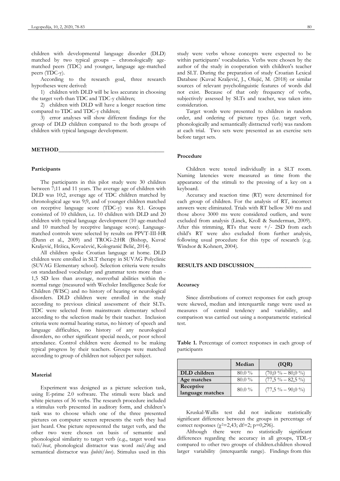children with developmental language disorder (DLD) matched by two typical groups – chronologically agematched peers (TDC) and younger, language age-matched peers (TDC-y).

According to the research goal, three research hypotheses were derived:

1) children with DLD will be less accurate in choosing the target verb than TDC and TDC-y children;

2) children with DLD will have a longer reaction time compared to TDC and TDC-y children;

3) error analyses will show different findings for the group of DLD children compared to the both groups of children with typical language development.

#### **METHOD\_\_\_\_\_\_\_\_\_\_\_\_\_\_\_\_\_\_\_\_\_\_\_\_\_\_\_\_\_\_\_\_\_\_\_\_\_**

#### **Participants**

The participants in this pilot study were 30 children between 7;11 and 11 years. The average age of children with DLD was 10;2, average age of TDC children matched by chronological age was 9;9, and of younger children matched on receptive language score (TDC-y) was 8;1. Groups consisted of 10 children, i.e. 10 children with DLD and 20 children with typical language development (10 age-matched and 10 matched by receptive language score). Languagematched controls were selected by results on PPVT-III-HR (Dunn et al., 2009) and TROG-2:HR (Bishop, Kuvač Kraljević, Hržica, Kovačević, Kologranić Belić, 2014).

All children spoke Croatian language at home. DLD children were enrolled in SLT therapy in SUVAG Polyclinic (SUVAG Elementary school). Selection criteria were results on standardised vocabulary and grammar tests more than - 1,5 SD less than average, nonverbal abilities within the normal range (measured with Wechsler Intelligence Scale for Children (WISC) and no history of hearing or neurological disorders. DLD children were enrolled in the study according to previous clinical assessment of their SLTs. TDC were selected from mainstream elementary school according to the selection made by their teacher. Inclusion criteria were normal hearing status, no history of speech and language difficulties, no history of any neurological disorders, no other significant special needs, or poor school attendance. Control children were deemed to be making typical progress by their teachers. Groups were matched according to group of children not subject per subject.

#### **Material**

Experiment was designed as a picture selection task, using E-prime 2.0 software. The stimuli were black and white pictures of 36 verbs. The research procedure included a stimulus verb presented in auditory form, and children's task was to choose which one of the three presented pictures on computer screen represents the verb they had just heard. One picture represented the target verb, and the other two were chosen on basis of semantic and phonological similarity to target verb (e.g., target word was tući*/beat*, phonological distractor was word *vući/drag* and semantical distractor was *ljubiti/love*). Stimulus used in this study were verbs whose concepts were expected to be within participants' vocabularies. Verbs were chosen by the author of the study in cooperation with children's teacher and SLT. During the preparation of study Croatian Lexical Database (Kuvač Kraljević, J., Olujić, M. (2018) or similar sources of relevant psycholinguistic features of words did not exist. Because of that only frequency of verbs, subjectively assessed by SLTs and teacher, was taken into consideration.

Target words were presented to children in random order, and ordering of picture types (i.e. target verb, phonologically and semantically distracted verb) was random at each trial. Two sets were presented as an exercise sets before target sets.

#### **Procedure**

Children were tested individually in a SLT room. Naming latencies were measured as time from the appearance of the stimuli to the pressing of a key on a keyboard.

Accuracy and reaction time (RT) were determined for each group of children. For the analysis of RT, incorrect answers were eliminated. Trials with RT bellow 300 ms and those above 3000 ms were considered outliers, and were excluded from analysis (Linck, Kroll & Sunderman, 2009). After this trimming, RTs that were  $+/- 2SD$  from each child's RT were also excluded from further analysis, following usual procedure for this type of research (e.g. Windsor & Kohnert, 2004).

### **RESULTS AND DISCUSSION\_\_\_\_\_\_\_\_\_\_\_\_\_\_\_\_\_\_\_\_**

#### **Accuracy**

Since distributions of correct responses for each group were skewed, median and interquartile range were used as measures of central tendency and variability, and comparison was carried out using a nonparametric statistical test.

**Table 1.** Percentage of correct responses in each group of participants

|                               | Median   | (IQR)               |
|-------------------------------|----------|---------------------|
| DLD children                  | $80.0\%$ | $(70.0\% - 80.0\%)$ |
| Age matches                   | $80.0\%$ | $(77.5\% - 82.5\%)$ |
| Receptive<br>language matches | $80.0\%$ | $(77,5\% - 90,0\%)$ |

Kruskal-Wallis test did not indicate statistically significant difference between the groups in percentage of correct responses ( $χ²=2,43$ ; df=2; p=0,296).

Although there were no statistically significant differences regarding the accuracy in all groups, TDL-y compared to other two groups of children.children showed larger variability (interquartile range). Findings from this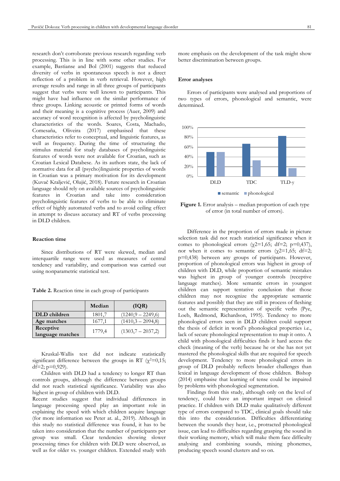research don't corroborate previous research regarding verb processing. This is in line with some other studies. For example, Bastianse and Bol (2001) suggests that reduced diversity of verbs in spontaneous speech is not a direct reflection of a problem in verb retrieval. However, high average results and range in all three groups of participants suggest that verbs were well known to participants. This might have had influence on the similar performance of three groups. Linking acoustic or printed forms of words and their meaning is a cognitive process (Auer, 2009) and accuracy of word recognition is affected by psycholinguistic characteristics of the words. Soares, Costa, Machado, Comesaña, Oliveira (2017) emphasised that these characteristics refer to conceptual, and linguistic features, as well as frequency. During the time of structuring the stimulus material for study databases of psycholinguistic features of words were not available for Croatian, such as Croatian Lexical Databese. As its authors state, the lack of normative data for all (psycho)linguistic properties of words in Croatian was a primary motivation for its development (Kuvač Kraljević, Olujić, 2018). Future research in Croatian language should rely on available sources of psycholinguistic features in Croatian and take into consideration psycholinguistic features of verbs to be able to eliminate effect of highly automated verbs and to avoid ceiling effect in attempt to discuss accuracy and RT of verbs processing in DLD children.

## **Reaction time**

Since distributions of RT were skewed, median and interquartile range were used as measures of central tendency and variability, and comparison was carried out using nonparametric statistical test.

**Table 2.** Reaction time in each group of participants

|                               | Median | (IQR)               |
|-------------------------------|--------|---------------------|
| DLD children                  | 1801,7 | $(1240,9 - 2249,6)$ |
| Age matches                   | 1677,1 | $(1410,3 - 2094,8)$ |
| Receptive<br>language matches | 1779,4 | $(1303,7 - 2037,2)$ |

Kruskal-Wallis test did not indicate statistically significant difference between the groups in RT ( $\chi^2$ =0,15; df=2;  $p=0.929$ ).

Children with DLD had a tendency to longer RT than controls groups, although the difference between groups did not reach statistical significance. Variability was also highest in group of children with DLD.

Recent studies suggest that individual differences in language processing speed play an important role in explaining the speed with which children acquire language (for more information see Peter at. al., 2019). Although in this study no statistical difference was found, it has to be taken into consideration that the number of participants per group was small. Clear tendencies showing slower processing times for children with DLD were observed, as well as for older vs. younger children. Extended study with more emphasis on the development of the task might show better discrimination between groups.

#### **Error analyses**

Errors of participants were analysed and proportions of two types of errors, phonological and semantic, were determined.



**Figure 1.** Error analysis – median proportion of each type of error (in total number of errors).

Difference in the proportion of errors made in picture selection task did not reach statistical significance when it comes to phonological errors ( $\chi$ 2=1,65; df=2; p=0,437), nor when it comes to semantic errors  $(\chi^2=1,65; df=2;$ p=0,438) between any groups of participants. However, proportion of phonological errors was highest in group of children with DLD, while proportion of semantic mistakes was highest in group of younger controls (receptive language matches). More semantic errors in youngest children can support tentative conclusion that those children may not recognize the appropriate semantic features and possibly that they are still in process of fleshing out the semantic representation of specific verbs (Pye, Loeb, Redmond, Richardson, 1995). Tendency to more phonological errors seen in DLD children could support the thesis of deficit in word's phonological properties i.e., lack of secure phonological representation to map it onto. A child with phonological difficulties finds it hard access the check (meaning of the verb) because he or she has not yet mastered the phonological skills that are required for speech development. Tendency to more phonological errors in group of DLD probably reflects broader challenges than lexical in language development of those children. Bishop (2014) emphasise that learning of tense could be impaired by problems with phonological segmentation.

Findings from this study, although only on the level of tendency, could have an important impact on clinical practice. If children with DLD make qualitatively different type of errors compared to TDC, clinical goals should take this into the consideration. Difficulties differentiating between the sounds they hear, i.e., protracted phonological issue, can lead to difficulties regarding grasping the sound in their working memory, which will make them face difficulty analysing and combining sounds, mixing phonemes, producing speech sound clusters and so on.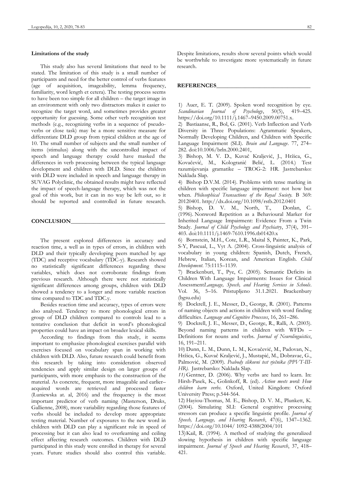## **Limitations of the study**

This study also has several limitations that need to be stated. The limitation of this study is a small number of participants and need for the better control of verbs features (age of acquisition, imageability, lemma frequency, familiarity, word length et cetera). The testing process seems to have been too simple for all children – the target image in an environment with only two distractors makes it easier to recognize the target word, and sometimes provides greater opportunity for guessing. Some other verb recognition test methods (e.g., recognizing verbs in a sequence of pseudoverbs or close task) may be a more sensitive measure for differentiate DLD group from typical children at the age of 10. The small number of subjects and the small number of items (stimulus) along with the uncontrolled impact of speech and language therapy could have masked the differences in verb processing between the typical language development and children with DLD. Since the children with DLD were included in speech and language therapy in SUVAG Polyclinic, the obtained results might have reflected the impact of speech-language therapy, which was not the goal of this work, but it can in no way be left out, so it should be reported and controlled in future research.

#### **CONCLUSION**\_\_\_\_\_\_\_\_\_\_\_\_\_\_\_\_\_\_\_\_\_\_\_\_\_\_\_\_\_\_\_\_\_

The present explored differences in accuracy and reaction time, a well as in types of errors, in children with DLD and their typically developing peers matched by age (TDC) and receptive vocabulary (TDC-y). Research showed no statistically significant differences regarding these variables, which does not corroborate findings from previous research. Although there were not statistically significant differences among groups, children with DLD showed a tendency to a longer and more variable reaction time compared to TDC and TDC.y.

Besides reaction time and accuracy, types of errors were also analysed. Tendency to more phonological errors in group of DLD children compared to controls lead to a tentative conclusion that deficit in word's phonological properties could have an impact on broader lexical skills.

According to findings from this study, it seems important to emphasize phonological exercises parallel with exercises focused on vocabulary span in working with children with DLD. Also, future research could benefit from this research by taking into consideration observed tendencies and apply similar design on larger groups of participants, with more emphasis to the construction of the material. As concrete, frequent, more imageable and earlier– acquired words are retrieved and processed faster (Łuniewska at. al, 2016) and the frequency is the most important predictor of verb naming (Masterson, Druks, Gallienne, 2008), more variability regarding those features of verbs should be included to develop more appropriate testing material. Number of exposures to the new word in children with DLD can play a significant role in speed of processing but it can also lead to overlearning and ceiling effect affecting research outcomes. Children with DLD participated in this study were enrolled in therapy for several years. Future studies should also control this variable. Despite limitations, results show several points which would be worthwhile to investigate more systematically in future research.

## **REFERENCES\_\_\_\_\_\_\_\_\_\_\_\_\_\_\_\_\_\_\_\_\_\_\_\_\_\_\_\_\_\_\_\_\_**

1) Auer, E. T. (2009). Spoken word recognition by eye. *Scandinavian Journal of Psychology*, 50(5), 419–425. [https://doi.org/10.1111/j.1467](https://doi.org/10.1111/j.1467–9450.2009.00751.x)–9450.2009.00751.x.

2) Bastiaanse, R., Bol, G. (2001). Verb Inflection and Verb Diversity in Three Populations: Agrammatic Speakers, Normally Developing Children, and Children with Specific Language Impairment (SLI). *Brain and Language*. 77, 274– 282. doi:10.1006/brln.2000.2401,

3) Bishop, M. V. D., Kuvač Kraljević, J., Hržica, G., Kovačević, M., Kologranić Belić, L. (2014.) Test razumijevanja gramatike – TROG-2: HR. Jastrebarsko: Naklada Slap.

4) Bishop D.V.M. (2014). Problems with tense marking in children with specific language impairment: not how but when. *Philosophical Transactions of the Royal Society.* B 369: 20120401.<http://dx.doi.org/10.1098/rstb.2012.0401>

5) Bishop, D. V. M., North, T., Donlan, C. (1996). Nonword Repetition as a Behavioural Marker for Inherited Language Impairment: Evidence From a Twin Study. *Journal of Child Psychology and Psychiatry*, 37(4), 391– 403. doi:10.1111/j.1469-7610.1996.tb01420.x

6) Bornstein, M.H., Cote, L.R., Maital S, Painter, K., Park, S-Y, Pascual, L., Vyt A. (2004). Cross-linguistic analysis of vocabulary in young children: Spanish, Dutch, French, Hebrew, Italian, Korean, and American English. *Child Development*. 75:1115–1139.

7) Brackenburi, T., Pye, C. (2005). Semantic Deficits in Children With Language Impairments: Issues for Clinical Assessment*Language, Speech, and Hearing Services in Schools*. Vol. 36, 5–16. Pristupljeno 31.1.2021. Brackenbury (bgsu.edu)

8) Dockrell, J. E., Messer, D., George, R. (2001). Patterns of naming objects and actions in children with word finding difficulties. *Language and Cognitive Processes*, 16, 261–286.

9) Dockrell, J. E., Messer, D., George, R., Ralli, A. (2003). Beyond naming patterns in children with WFDs –

Definitions for nouns and verbs. *Journal of Neurolinguistics*, 16, 191–211.

10) Dunn, L. M., Dunn, L. M., Kovačević, M., Padovan, N., Hržica, G., Kuvač Kraljević, J., Mustapić, M., Dobravac, G., Palmović, M. (2009). *Peabody slikovni test rječnika (PPVT-III-HR).* Jastrebarsko: Naklada Slap.

*11)* Gentner, D. (2006). Why verbs are hard to learn. In: Hirsh-Pasek, K., Golinkoff, R. (ed). *Action meets word: How children learn verbs*. Oxford, United Kingdom: Oxford University Press; p.544-564.

12) Hayiou-Thomas, M. E., Bishop, D. V. M., Plunkett, K. (2004). Simulating SLI: General cognitive processing stressors can produce a specific linguistic profile. *Journal of Speech, Language, and Hearing Research*, 47(6), 1347–1362. https://doi.org/10.1044/ 1092-4388(2004/101

13)Kail, R. (1994). A method of studying the generalized slowing hypothesis in children with specific language impairment. *Journal of Speech and Hearing Research*, 37, 418– 421.